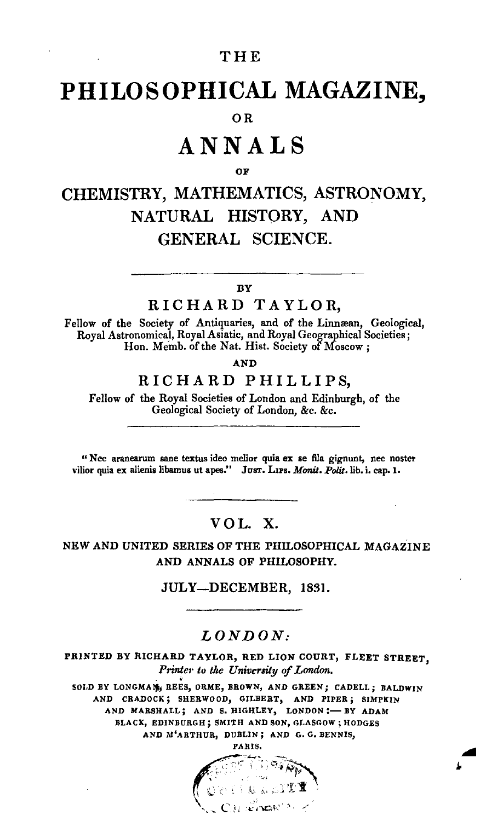## THE

# PHILOSOPHICAL MAGAZINE.

## O<sub>R</sub>

# ANNALS

#### ΩF

# CHEMISTRY, MATHEMATICS, ASTRONOMY, NATURAL HISTORY, AND GENERAL SCIENCE.

#### BY

## RICHARD TAYLOR.

Fellow of the Society of Antiquaries, and of the Linnæan, Geological, Royal Astronomical, Royal Asiatic, and Royal Geographical Societies; Hon. Memb. of the Nat. Hist. Society of Moscow:

**AND** 

# RICHARD PHILLIPS,

Fellow of the Royal Societies of London and Edinburgh, of the Geological Society of London, &c. &c.

"Nec aranearum sane textus ideo melior quia ex se fila gignunt, nec noster vilior quia ex alienis libamus ut apes." Just. LIPS. Monit. Polit. lib. i. cap. 1.

VOL X.

NEW AND UNITED SERIES OF THE PHILOSOPHICAL MAGAZINE AND ANNALS OF PHILOSOPHY.

JULY—DECEMBER, 1831.

### $LONDON:$

PRINTED BY RICHARD TAYLOR, RED LION COURT, FLEET STREET. Printer to the University of London.

SOLD BY LONGMAN REES, ORME, BROWN, AND GREEN; CADELL: BALDWIN AND CRADOCK; SHERWOOD, GILBERT, AND FIPER; SIMPKIN AND MARSHALL; AND S. HIGHLEY, LONDON:- BY ADAM BLACK, EDINBURGH; SMITH AND SON, GLASGOW; HODGES AND M'ARTHUR, DUBLIN; AND G. G. BENNIS,

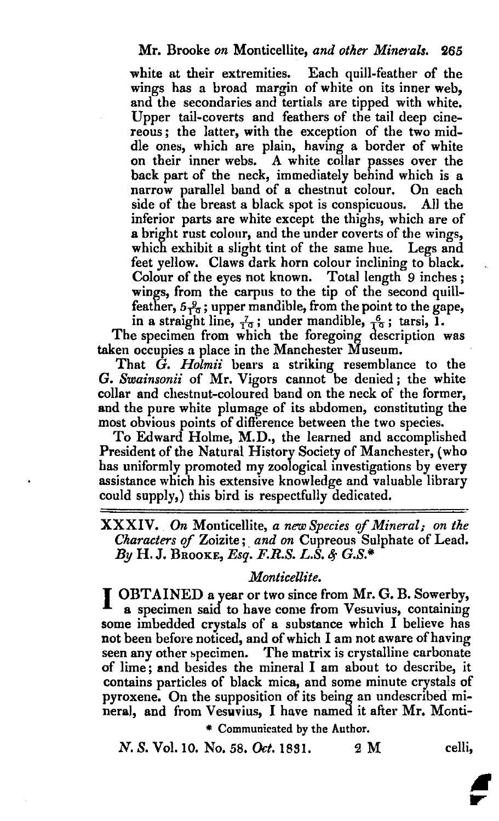white at their extremities. Each quill-feather of the wings has a broad margin of white on its inner web, and the secondaries and tertials are tipped with white. Upper tail-coverts and feathers of the tail deep cinereous; the latter, with the exception of the two middle ones, which are plain, having a border of white on their inner webs. A white collar passes over the back part of the neck, immediately behind which is a narrow parallel band of a chestnut colour. On each side of the breast a black spot is conspicuous. All the inferior parts are white except the thighs, which are of a bright rust colour, and the under coverts of the wings, which exhibit a slight tint of the same hue. Legs and feet yellow. Claws dark horn colour inclining to black. Colour of the eyes not known. Total length 9 inches; wings, from the carpus to the tip of the second quillfeather,  $5\frac{9}{10}$ ; upper mandible, from the point to the gape, in a straight line,  $\frac{7}{10}$ ; under mandible,  $\frac{6}{10}$ ; tarsi, 1.

The specimen from which the foregoing description was taken occupies a place in the Manchester Museum.

That G. *Holmii* bears a striking resemblance to the G. *Swainsonii* of Mr. Vigors cannot be denied; the white collar and chestnut-coloured band on the neck of the former, and the pure white plumage of its abdomen, constituting the most obvious points of difference between the two species.

To Edward Holme, M.D., the learned and accomplished President of the Natural History Society of Manchester, (who has uniformly promoted my zoological investigations by every assistance which his extensive knowledge and valuable library could supply,) this bird is respectfully dedicated.

XXXIV. *On* Monticellite, *<sup>a</sup> new Species* if*Mineral; on the Characters of Zoizite; and on Cupreous Sulphate of Lead. By* H.J. BROOKE, *Esq. F.R.S. L.S. G.S.\**

*Monticellite.*<br> **I OBTAINED a year or two since from Mr. G. B. Sowerby,** a specimen said to have come from Vesuvius, containing some imbedded crystals of a substance which I believe has not been before noticed, and of which I am not aware of having seen any other specimen. The matrix is crystalline carbonate of lime; and besides the mineral I am about to describe, it contains particles of black mica, and some minute crystals of pyroxene. On the supposition of its being an undescribed mineral, and from Vesuvius, I have named it after Mr. Monti-

\* Communicated by the Author.

N. S. Vol. 10. No. 58. *Oct.* 1831. 2 M celli,

;<br>F

...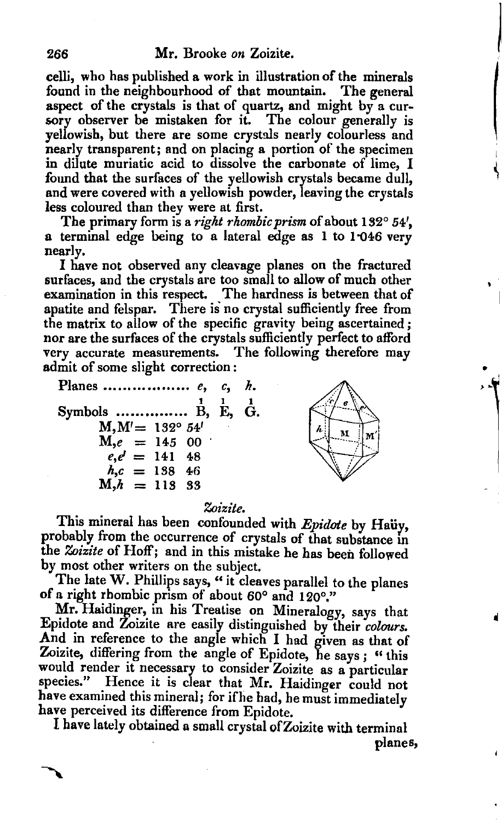celli, who has published a work in illustration of the minerals found in the neighbourhood of that mountain. The general aspect of the crystals is that of quartz, and might by a cursory observer be mistaken for it. The colour generally is yellowish, but there are some crystals nearly colourless and nearly transparent; and on placing a portion of the specimen in dilute muriatic acid to dissolve the carbonate of lime, I found that the surfaces of the yellowish crystals became dull, and were covered with a yellowish powder, leaving the crystals less coloured than they were at first.

The primary form is a *right rhombic prism* of about 132° 54', a terminal edge being to a lateral edge as 1 to 1"046 very nearly.

I have not observed any cleavage planes on the fractured surfaces, and the crystals are too small to allow of much other examination in this respect. The hardness is between that of apatite and felspar. There is no crystal sufficiently free from the matrix to allow of the specific gravity being ascertained; nor are the surfaces of the crystals sufficiently perfect to afford very accurate measurements. The following therefore may admit of some slight correction:

**Planes** *e,* Symbols ……………  $\overset{1}{\text{B}},$  $M, M' = 132^{\circ} 54'$  $M,e = 14500$  $e, e' = 141$  48  $h, c = 138$  46  $M,h = 113333$ *c, h.* 1 1 E, G.



I

#### *Zoizite.*

This mineral has been confounded with *Epidote* by Hauy, probably from the occurrence of crystals of that substance in the *Zoizite* of Hoff; and in this mistake he has been followed by most other writers on the subject.

The late W. Phillips says, " it cleaves parallel to the planes of a right rhombic prism of about 60° and 120°."

Mr. Haidinger, in his Treatise on Mineralogy, says that Epidote and Zoizite are easily distinguished by their *colours*. And in reference to the angle which I had given as that of Zoizite, differing from the angle of Epidote, he says; "this would render it necessary to consider Zoizite as a particular species." Hence it is clear that Mr. Haidinger could not have examined this mineral; for ifhe had, he must immediately have perceived its difference from Epidote.

I have lately obtained a small crystal ofZoizite with terminal planes,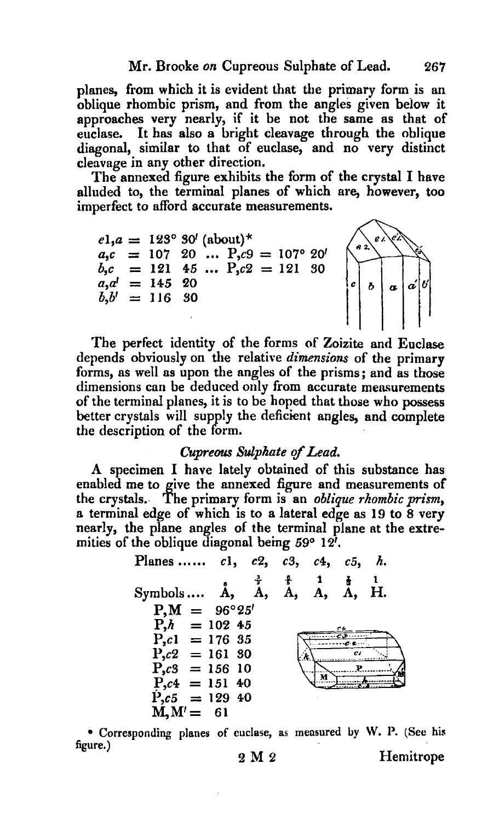planes, from which it is evident that the primary form is an oblique rhombic prism, and from the angles given beiow it approaches very nearly, if it be not the same as that of euclase. It has also a bright cleavage through the oblique diagonal, similar to that of euclase, and no very distinct cleavage in any other direction.

The annexed figure exhibits the form of the crystal I have alluded to, the terminal planes of which are, however, too imperfect to afford accurate measurements.



The perfect identity of the forms of Zoizite and Euclase depends obviously on the relative *dimensions* of the primary forms, as well as upon the angles of the prisms; and as those dimensions can be deduced only from accurate measurements of the terminal planes, it is to be hoped that those who possess better crystals will supply the deficient angles, and complete the description of the form.

#### *Cupreoos Sulphate qfLead.*

A specimen I have lately obtained of this substance has enabled me to give the annexed figure and measurements of the crystals.. The primary form is an *oblique rhombic prism,* a terminal edge of which is to a lateral edge as 19 to 8 very nearly, the plane angles of the terminal plane at the extremities of the oblique diagonal being  $59^{\circ}$  12'.

| Planes $c1, c2, c3, c4,$ |  |       | $c5$ , h. |     |  |
|--------------------------|--|-------|-----------|-----|--|
| $Symbols$ $A, A,$        |  | A, A, | A.        | -Н. |  |
| $P_1M = 96^{\circ}25'$   |  |       |           |     |  |
| $P_{h}h = 10245$         |  |       |           |     |  |
| $P_{,c1} = 17635$        |  |       |           |     |  |
| $P_{0}c2 = 16130$        |  |       |           |     |  |
| $P_{1,03}$ = 156 10      |  |       |           |     |  |
| $P_{0}c4 = 15140$        |  |       |           |     |  |
| $P_{0.5} = 12940$        |  |       |           |     |  |
| $M, M' = 61$             |  |       |           |     |  |

• Corresponding plane~ of euclase, as measured uy W. P. (See his figure.)